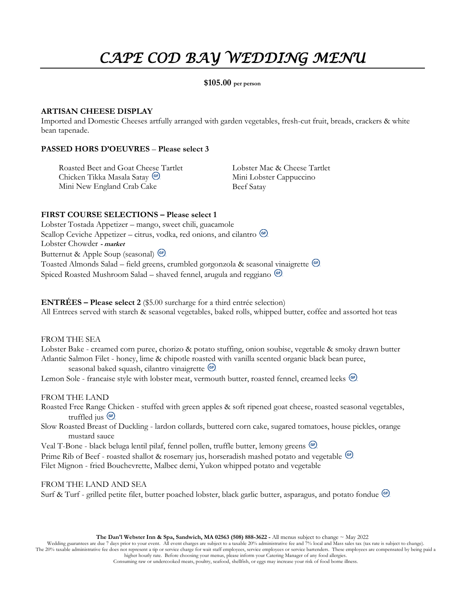# *CAPE COD BAY WEDDING MENU*

#### **\$105.00 per person**

#### **ARTISAN CHEESE DISPLAY**

Imported and Domestic Cheeses artfully arranged with garden vegetables, fresh-cut fruit, breads, crackers & white bean tapenade.

#### **PASSED HORS D'OEUVRES** – **Please select 3**

Roasted Beet and Goat Cheese Tartlet Chicken Tikka Masala Satay Mini New England Crab Cake

Lobster Mac & Cheese Tartlet Mini Lobster Cappuccino Beef Satay

#### **FIRST COURSE SELECTIONS – Please select 1**

Lobster Tostada Appetizer – mango, sweet chili, guacamole Scallop Ceviche Appetizer – citrus, vodka, red onions, and cilantro  $\left($ <sup>e)</sup>. Lobster Chowder **- market** Butternut & Apple Soup (seasonal) <sup>GF</sup> Toasted Almonds Salad – field greens, crumbled gorgonzola & seasonal vinaigrette Spiced Roasted Mushroom Salad – shaved fennel, arugula and reggiano <sup>GE</sup>

**ENTRÉES – Please select 2** (\$5.00 surcharge for a third entrée selection) All Entrees served with starch & seasonal vegetables, baked rolls, whipped butter, coffee and assorted hot teas

FROM THE SEA

Lobster Bake - creamed corn puree, chorizo & potato stuffing, onion soubise, vegetable & smoky drawn butter Atlantic Salmon Filet - honey, lime & chipotle roasted with vanilla scented organic black bean puree, seasonal baked squash, cilantro vinaigrette **GF** 

Lemon Sole - francaise style with lobster meat, vermouth butter, roasted fennel, creamed leeks <sup>G</sup>

FROM THE LAND

- Roasted Free Range Chicken stuffed with green apples & soft ripened goat cheese, roasted seasonal vegetables, truffled jus  $\binom{G}{x}$
- Slow Roasted Breast of Duckling lardon collards, buttered corn cake, sugared tomatoes, house pickles, orange mustard sauce

Veal T-Bone - black beluga lentil pilaf, fennel pollen, truffle butter, lemony greens

Prime Rib of Beef - roasted shallot & rosemary jus, horseradish mashed potato and vegetable  $\circledast$ 

Filet Mignon - fried Bouchevrette, Malbec demi, Yukon whipped potato and vegetable

#### FROM THE LAND AND SEA

Surf & Turf - grilled petite filet, butter poached lobster, black garlic butter, asparagus, and potato fondue <sup>(af)</sup>

**The Dan'l Webster Inn & Spa, Sandwich, MA 02563 (508) 888-3622 -** All menus subject to change  $\sim$  May 2022

Wedding guarantees are due 7 days prior to your event. All event charges are subject to a taxable 20% administrative fee and 7% local and Mass sales tax (tax rate is subject to change).<br>The 20% taxable administrative fee d higher hourly rate. Before choosing your menus, please inform your Catering Manager of any food allergies.

Consuming raw or undercooked meats, poultry, seafood, shellfish, or eggs may increase your risk of food borne illness.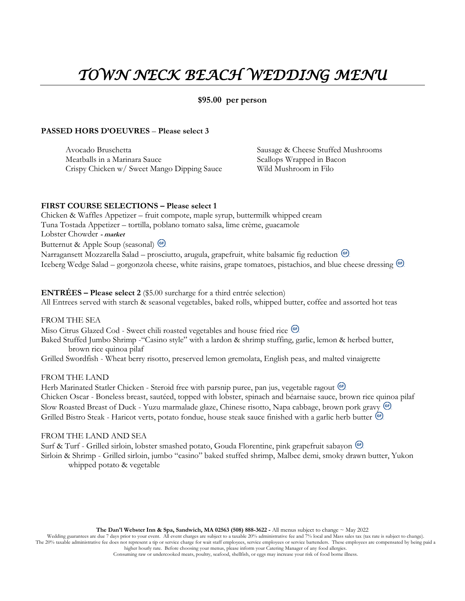# *TOWN NECK BEACH WEDDING MENU*

#### **\$95.00 per person**

#### **PASSED HORS D'OEUVRES** – **Please select 3**

Avocado Bruschetta Meatballs in a Marinara Sauce Crispy Chicken w/ Sweet Mango Dipping Sauce Sausage & Cheese Stuffed Mushrooms Scallops Wrapped in Bacon Wild Mushroom in Filo

#### **FIRST COURSE SELECTIONS – Please select 1**

Chicken & Waffles Appetizer – fruit compote, maple syrup, buttermilk whipped cream Tuna Tostada Appetizer – tortilla, poblano tomato salsa, lime crème, guacamole Lobster Chowder **- market** Butternut & Apple Soup (seasonal) Narragansett Mozzarella Salad – prosciutto, arugula, grapefruit, white balsamic fig reduction <sup>GP</sup> Iceberg Wedge Salad – gorgonzola cheese, white raisins, grape tomatoes, pistachios, and blue cheese dressing <sup>(ar)</sup>

#### **ENTRÉES – Please select 2** (\$5.00 surcharge for a third entrée selection)

All Entrees served with starch & seasonal vegetables, baked rolls, whipped butter, coffee and assorted hot teas

FROM THE SEA

Miso Citrus Glazed Cod - Sweet chili roasted vegetables and house fried rice <sup>GD</sup>

Baked Stuffed Jumbo Shrimp -"Casino style" with a lardon & shrimp stuffing, garlic, lemon & herbed butter, brown rice quinoa pilaf

Grilled Swordfish - Wheat berry risotto, preserved lemon gremolata, English peas, and malted vinaigrette

#### FROM THE LAND

Herb Marinated Statler Chicken - Steroid free with parsnip puree, pan jus, vegetable ragout <sup>(cf)</sup> Chicken Oscar - Boneless breast, sautéed, topped with lobster, spinach and béarnaise sauce, brown rice quinoa pilaf Slow Roasted Breast of Duck - Yuzu marmalade glaze, Chinese risotto, Napa cabbage, brown pork gravy Grilled Bistro Steak - Haricot verts, potato fondue, house steak sauce finished with a garlic herb butter <sup>Gr</sup>.

#### FROM THE LAND AND SEA

Surf & Turf - Grilled sirloin, lobster smashed potato, Gouda Florentine, pink grapefruit sabayon Sirloin & Shrimp - Grilled sirloin, jumbo "casino" baked stuffed shrimp, Malbec demi, smoky drawn butter, Yukon whipped potato & vegetable

**The Dan'l Webster Inn & Spa, Sandwich, MA 02563 (508) 888-3622 -** All menus subject to change ~ May 2022

Wedding guarantees are due 7 days prior to your event. All event charges are subject to a taxable 20% administrative fee and 7% local and Mass sales tax (tax rate is subject to change). The 20% taxable administrative fee does not represent a tip or service charge for wait staff employees, service employees or service bartenders. These employees are compensated by being paid a higher hourly rate. Before choosing your menus, please inform your Catering Manager of any food allergies.

Consuming raw or undercooked meats, poultry, seafood, shellfish, or eggs may increase your risk of food borne illness.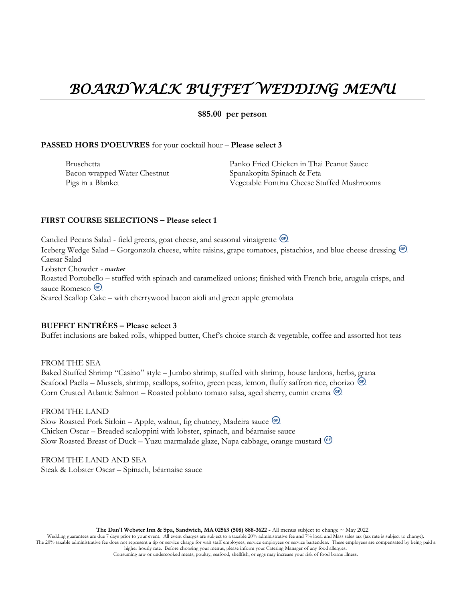### *BOARDWALK BUFFET WEDDING MENU*

#### **\$85.00 per person**

#### **PASSED HORS D'OEUVRES** for your cocktail hour – **Please select 3**

Bruschetta Bacon wrapped Water Chestnut Pigs in a Blanket

Panko Fried Chicken in Thai Peanut Sauce Spanakopita Spinach & Feta Vegetable Fontina Cheese Stuffed Mushrooms

#### **FIRST COURSE SELECTIONS – Please select 1**

Candied Pecans Salad - field greens, goat cheese, and seasonal vinaigrette Iceberg Wedge Salad – Gorgonzola cheese, white raisins, grape tomatoes, pistachios, and blue cheese dressing Caesar Salad Lobster Chowder **- market** Roasted Portobello – stuffed with spinach and caramelized onions; finished with French brie, arugula crisps, and sauce Romesco<sup>(G)</sup> Seared Scallop Cake – with cherrywood bacon aioli and green apple gremolata

### **BUFFET ENTRÉES – Please select 3**

Buffet inclusions are baked rolls, whipped butter, Chef's choice starch & vegetable, coffee and assorted hot teas

FROM THE SEA Baked Stuffed Shrimp "Casino" style – Jumbo shrimp, stuffed with shrimp, house lardons, herbs, grana Seafood Paella – Mussels, shrimp, scallops, sofrito, green peas, lemon, fluffy saffron rice, chorizo <sup>G.</sup> Corn Crusted Atlantic Salmon – Roasted poblano tomato salsa, aged sherry, cumin crema

FROM THE LAND Slow Roasted Pork Sirloin – Apple, walnut, fig chutney, Madeira sauce Chicken Oscar – Breaded scaloppini with lobster, spinach, and béarnaise sauce Slow Roasted Breast of Duck – Yuzu marmalade glaze, Napa cabbage, orange mustard

FROM THE LAND AND SEA Steak & Lobster Oscar – Spinach, béarnaise sauce

**The Dan'l Webster Inn & Spa, Sandwich, MA 02563 (508) 888-3622 -** All menus subject to change ~ May 2022

Wedding guarantees are due 7 days prior to your event. All event charges are subject to a taxable 20% administrative fee and 7% local and Mass sales tax (tax rate is subject to change). The 20% taxable administrative fee does not represent a tip or service charge for wait staff employees, service employees or service bartenders. These employees are compensated by being paid a higher hourly rate. Before choosing your menus, please inform your Catering Manager of any food allergies.

Consuming raw or undercooked meats, poultry, seafood, shellfish, or eggs may increase your risk of food borne illness.